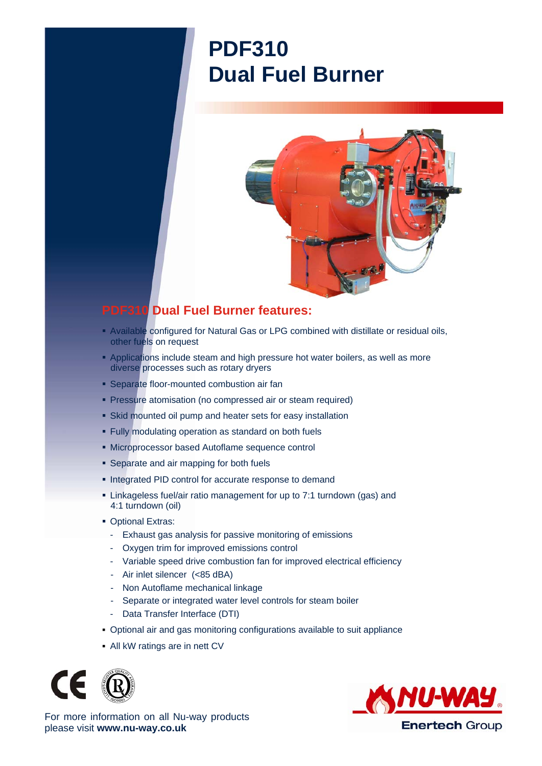## **PDF310 Dual Fuel Burner**



## **PDF310 Dual Fuel Burner features:**

- Available configured for Natural Gas or LPG combined with distillate or residual oils, other fuels on request
- **Applications include steam and high pressure hot water boilers, as well as more** diverse processes such as rotary dryers
- **Separate floor-mounted combustion air fan**
- **Pressure atomisation (no compressed air or steam required)**
- Skid mounted oil pump and heater sets for easy installation
- Fully modulating operation as standard on both fuels
- Microprocessor based Autoflame sequence control
- **Separate and air mapping for both fuels**
- **Integrated PID control for accurate response to demand**
- Linkageless fuel/air ratio management for up to 7:1 turndown (gas) and 4:1 turndown (oil)
- **Optional Extras:** 
	- Exhaust gas analysis for passive monitoring of emissions
	- Oxygen trim for improved emissions control
	- Variable speed drive combustion fan for improved electrical efficiency
	- Air inlet silencer (<85 dBA)
	- Non Autoflame mechanical linkage
	- Separate or integrated water level controls for steam boiler
	- Data Transfer Interface (DTI)
- Optional air and gas monitoring configurations available to suit appliance
- All kW ratings are in nett CV





For more information on all Nu-way products please visit **www.nu-way.co.uk**